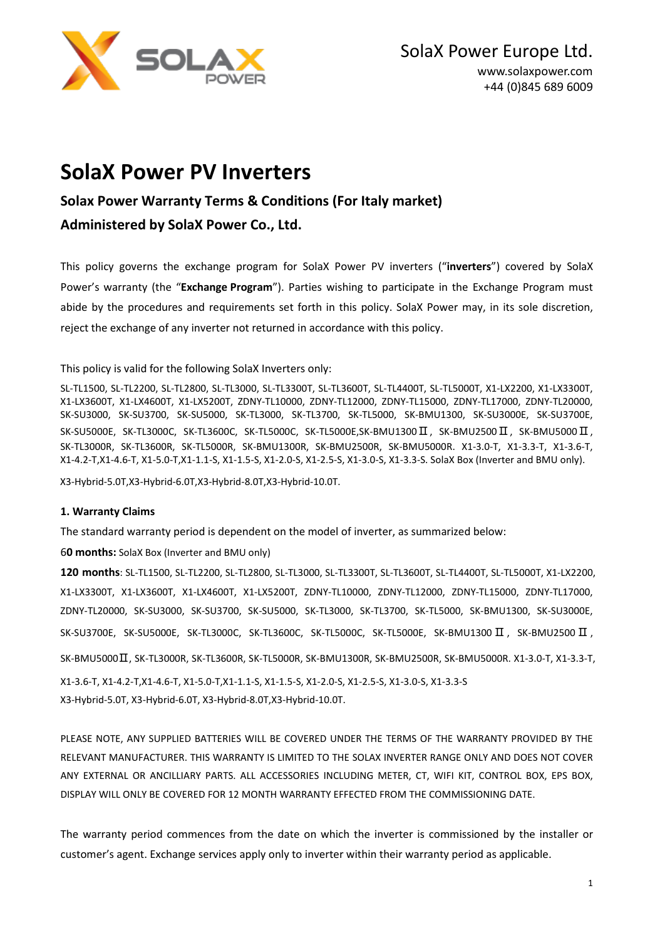

# **SolaX Power PV Inverters**

# **Solax Power Warranty Terms & Conditions (For Italy market)**

# **Administered by SolaX Power Co., Ltd.**

This policy governs the exchange program for SolaX Power PV inverters ("**inverters**") covered by SolaX Power's warranty (the "**Exchange Program**"). Parties wishing to participate in the Exchange Program must abide by the procedures and requirements set forth in this policy. SolaX Power may, in its sole discretion, reject the exchange of any inverter not returned in accordance with this policy.

This policy is valid for the following SolaX Inverters only:

SL-TL1500, SL-TL2200, SL-TL2800, SL-TL3000, SL-TL3300T, SL-TL3600T, SL-TL4400T, SL-TL5000T, X1-LX2200, X1-LX3300T, X1-LX3600T, X1-LX4600T, X1-LX5200T, ZDNY-TL10000, ZDNY-TL12000, ZDNY-TL15000, ZDNY-TL17000, ZDNY-TL20000, SK-SU3000, SK-SU3700, SK-SU5000, SK-TL3000, SK-TL3700, SK-TL5000, SK-BMU1300, SK-SU3000E, SK-SU3700E, SK-SU5000E, SK-TL3000C, SK-TL3600C, SK-TL5000C, SK-TL5000E,SK-BMU1300 II, SK-BMU2500 II, SK-BMU5000 II, SK-TL3000R, SK-TL3600R, SK-TL5000R, SK-BMU1300R, SK-BMU2500R, SK-BMU5000R. X1-3.0-T, X1-3.3-T, X1-3.6-T, X1-4.2-T,X1-4.6-T, X1-5.0-T,X1-1.1-S, X1-1.5-S, X1-2.0-S, X1-2.5-S, X1-3.0-S, X1-3.3-S. SolaX Box (Inverter and BMU only).

X3-Hybrid-5.0T,X3-Hybrid-6.0T,X3-Hybrid-8.0T,X3-Hybrid-10.0T.

## **1. Warranty Claims**

The standard warranty period is dependent on the model of inverter, as summarized below:

6**0 months:** SolaX Box (Inverter and BMU only)

**120 months**: SL-TL1500, SL-TL2200, SL-TL2800, SL-TL3000, SL-TL3300T, SL-TL3600T, SL-TL4400T, SL-TL5000T, X1-LX2200, X1-LX3300T, X1-LX3600T, X1-LX4600T, X1-LX5200T, ZDNY-TL10000, ZDNY-TL12000, ZDNY-TL15000, ZDNY-TL17000, ZDNY-TL20000, SK-SU3000, SK-SU3700, SK-SU5000, SK-TL3000, SK-TL3700, SK-TL5000, SK-BMU1300, SK-SU3000E, SK-SU3700E, SK-SU5000E, SK-TL3000C, SK-TL3600C, SK-TL5000C, SK-TL5000E, SK-BMU1300 Ⅱ , SK-BMU2500 Ⅱ , SK-BMU5000Ⅱ, SK-TL3000R, SK-TL3600R, SK-TL5000R, SK-BMU1300R, SK-BMU2500R, SK-BMU5000R. X1-3.0-T, X1-3.3-T, X1-3.6-T, X1-4.2-T,X1-4.6-T, X1-5.0-T,X1-1.1-S, X1-1.5-S, X1-2.0-S, X1-2.5-S, X1-3.0-S, X1-3.3-S X3-Hybrid-5.0T, X3-Hybrid-6.0T, X3-Hybrid-8.0T,X3-Hybrid-10.0T.

PLEASE NOTE, ANY SUPPLIED BATTERIES WILL BE COVERED UNDER THE TERMS OF THE WARRANTY PROVIDED BY THE RELEVANT MANUFACTURER. THIS WARRANTY IS LIMITED TO THE SOLAX INVERTER RANGE ONLY AND DOES NOT COVER ANY EXTERNAL OR ANCILLIARY PARTS. ALL ACCESSORIES INCLUDING METER, CT, WIFI KIT, CONTROL BOX, EPS BOX, DISPLAY WILL ONLY BE COVERED FOR 12 MONTH WARRANTY EFFECTED FROM THE COMMISSIONING DATE.

The warranty period commences from the date on which the inverter is commissioned by the installer or customer's agent. Exchange services apply only to inverter within their warranty period as applicable.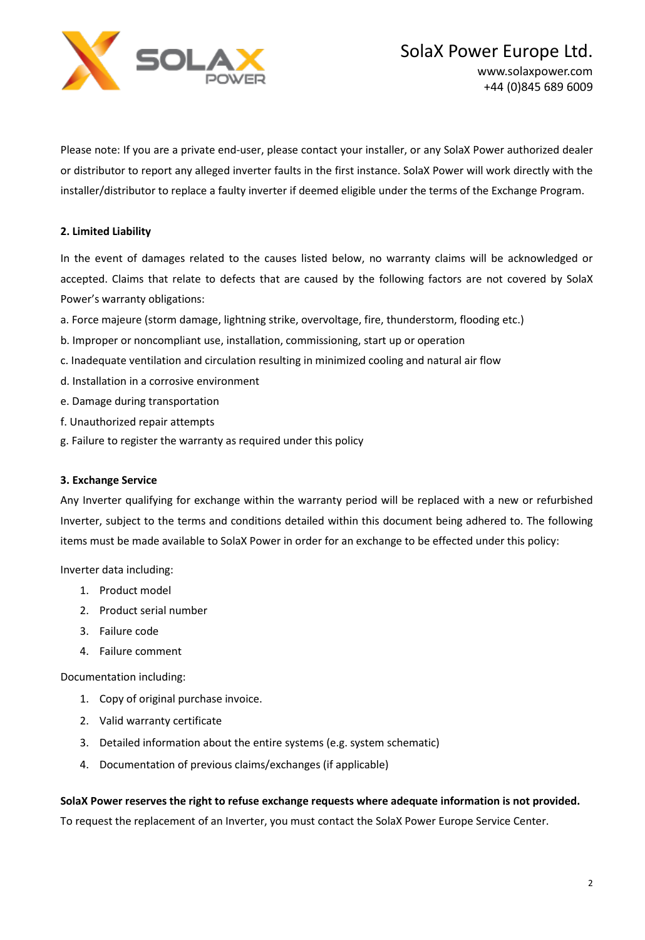

Please note: If you are a private end-user, please contact your installer, or any SolaX Power authorized dealer or distributor to report any alleged inverter faults in the first instance. SolaX Power will work directly with the installer/distributor to replace a faulty inverter if deemed eligible under the terms of the Exchange Program.

# **2. Limited Liability**

In the event of damages related to the causes listed below, no warranty claims will be acknowledged or accepted. Claims that relate to defects that are caused by the following factors are not covered by SolaX Power's warranty obligations:

- a. Force majeure (storm damage, lightning strike, overvoltage, fire, thunderstorm, flooding etc.)
- b. Improper or noncompliant use, installation, commissioning, start up or operation
- c. Inadequate ventilation and circulation resulting in minimized cooling and natural air flow
- d. Installation in a corrosive environment
- e. Damage during transportation
- f. Unauthorized repair attempts
- g. Failure to register the warranty as required under this policy

## **3. Exchange Service**

Any Inverter qualifying for exchange within the warranty period will be replaced with a new or refurbished Inverter, subject to the terms and conditions detailed within this document being adhered to. The following items must be made available to SolaX Power in order for an exchange to be effected under this policy:

Inverter data including:

- 1. Product model
- 2. Product serial number
- 3. Failure code
- 4. Failure comment

Documentation including:

- 1. Copy of original purchase invoice.
- 2. Valid warranty certificate
- 3. Detailed information about the entire systems (e.g. system schematic)
- 4. Documentation of previous claims/exchanges (if applicable)

#### **SolaX Power reserves the right to refuse exchange requests where adequate information is not provided.**

To request the replacement of an Inverter, you must contact the SolaX Power Europe Service Center.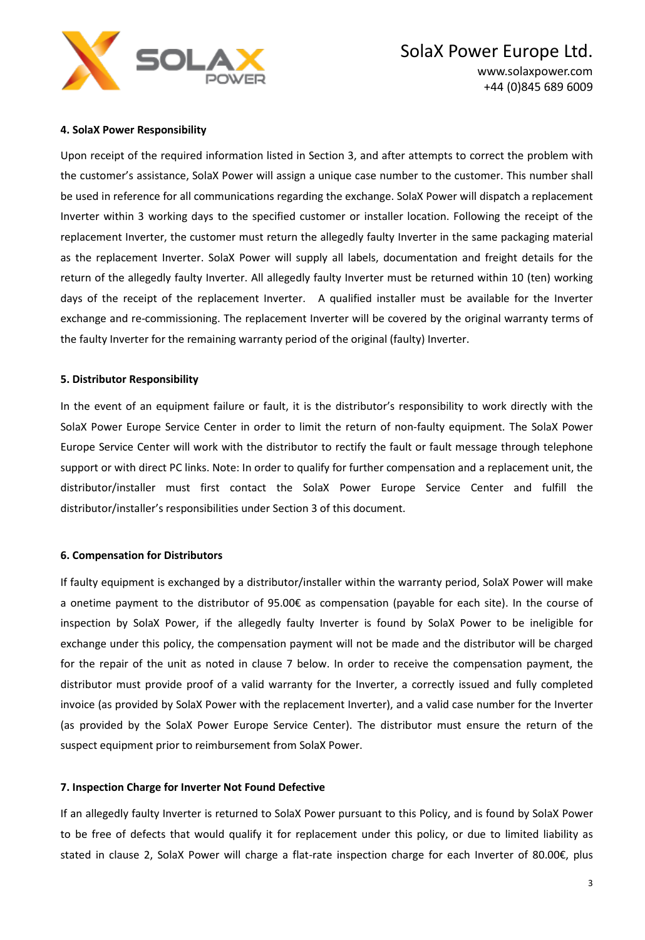

#### **4. SolaX Power Responsibility**

Upon receipt of the required information listed in Section 3, and after attempts to correct the problem with the customer's assistance, SolaX Power will assign a unique case number to the customer. This number shall be used in reference for all communications regarding the exchange. SolaX Power will dispatch a replacement Inverter within 3 working days to the specified customer or installer location. Following the receipt of the replacement Inverter, the customer must return the allegedly faulty Inverter in the same packaging material as the replacement Inverter. SolaX Power will supply all labels, documentation and freight details for the return of the allegedly faulty Inverter. All allegedly faulty Inverter must be returned within 10 (ten) working days of the receipt of the replacement Inverter. A qualified installer must be available for the Inverter exchange and re-commissioning. The replacement Inverter will be covered by the original warranty terms of the faulty Inverter for the remaining warranty period of the original (faulty) Inverter.

#### **5. Distributor Responsibility**

In the event of an equipment failure or fault, it is the distributor's responsibility to work directly with the SolaX Power Europe Service Center in order to limit the return of non-faulty equipment. The SolaX Power Europe Service Center will work with the distributor to rectify the fault or fault message through telephone support or with direct PC links. Note: In order to qualify for further compensation and a replacement unit, the distributor/installer must first contact the SolaX Power Europe Service Center and fulfill the distributor/installer's responsibilities under Section 3 of this document.

#### **6. Compensation for Distributors**

If faulty equipment is exchanged by a distributor/installer within the warranty period, SolaX Power will make a onetime payment to the distributor of 95.00€ as compensation (payable for each site). In the course of inspection by SolaX Power, if the allegedly faulty Inverter is found by SolaX Power to be ineligible for exchange under this policy, the compensation payment will not be made and the distributor will be charged for the repair of the unit as noted in clause 7 below. In order to receive the compensation payment, the distributor must provide proof of a valid warranty for the Inverter, a correctly issued and fully completed invoice (as provided by SolaX Power with the replacement Inverter), and a valid case number for the Inverter (as provided by the SolaX Power Europe Service Center). The distributor must ensure the return of the suspect equipment prior to reimbursement from SolaX Power.

#### **7. Inspection Charge for Inverter Not Found Defective**

If an allegedly faulty Inverter is returned to SolaX Power pursuant to this Policy, and is found by SolaX Power to be free of defects that would qualify it for replacement under this policy, or due to limited liability as stated in clause 2, SolaX Power will charge a flat-rate inspection charge for each Inverter of 80.00€, plus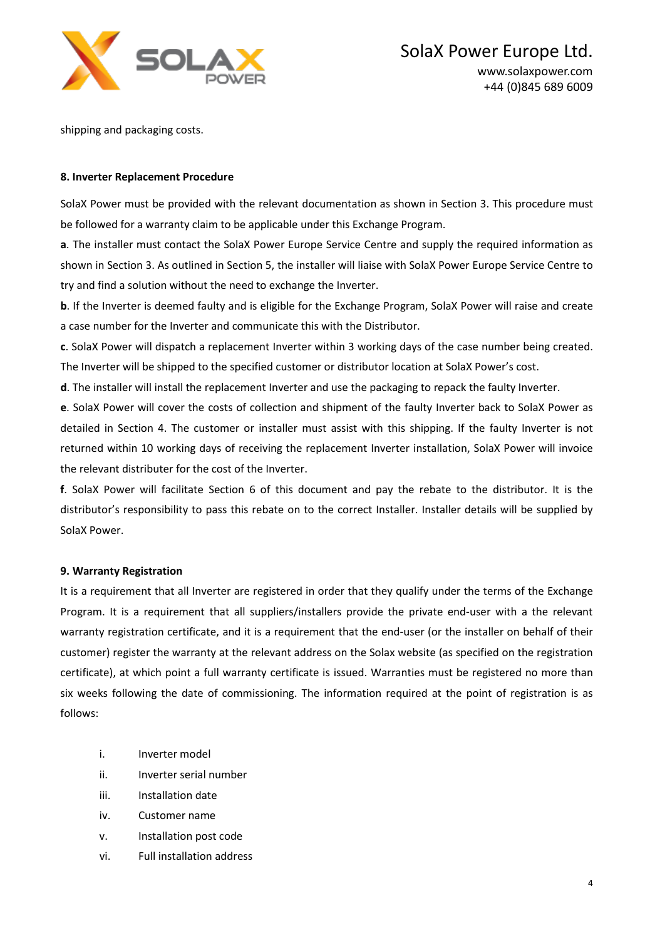

shipping and packaging costs.

### **8. Inverter Replacement Procedure**

SolaX Power must be provided with the relevant documentation as shown in Section 3. This procedure must be followed for a warranty claim to be applicable under this Exchange Program.

**a**. The installer must contact the SolaX Power Europe Service Centre and supply the required information as shown in Section 3. As outlined in Section 5, the installer will liaise with SolaX Power Europe Service Centre to try and find a solution without the need to exchange the Inverter.

**b**. If the Inverter is deemed faulty and is eligible for the Exchange Program, SolaX Power will raise and create a case number for the Inverter and communicate this with the Distributor.

**c**. SolaX Power will dispatch a replacement Inverter within 3 working days of the case number being created. The Inverter will be shipped to the specified customer or distributor location at SolaX Power's cost.

**d**. The installer will install the replacement Inverter and use the packaging to repack the faulty Inverter.

**e**. SolaX Power will cover the costs of collection and shipment of the faulty Inverter back to SolaX Power as detailed in Section 4. The customer or installer must assist with this shipping. If the faulty Inverter is not returned within 10 working days of receiving the replacement Inverter installation, SolaX Power will invoice the relevant distributer for the cost of the Inverter.

**f**. SolaX Power will facilitate Section 6 of this document and pay the rebate to the distributor. It is the distributor's responsibility to pass this rebate on to the correct Installer. Installer details will be supplied by SolaX Power.

#### **9. Warranty Registration**

It is a requirement that all Inverter are registered in order that they qualify under the terms of the Exchange Program. It is a requirement that all suppliers/installers provide the private end-user with a the relevant warranty registration certificate, and it is a requirement that the end-user (or the installer on behalf of their customer) register the warranty at the relevant address on the Solax website (as specified on the registration certificate), at which point a full warranty certificate is issued. Warranties must be registered no more than six weeks following the date of commissioning. The information required at the point of registration is as follows:

- i. Inverter model
- ii. Inverter serial number
- iii. Installation date
- iv. Customer name
- v. Installation post code
- vi. Full installation address